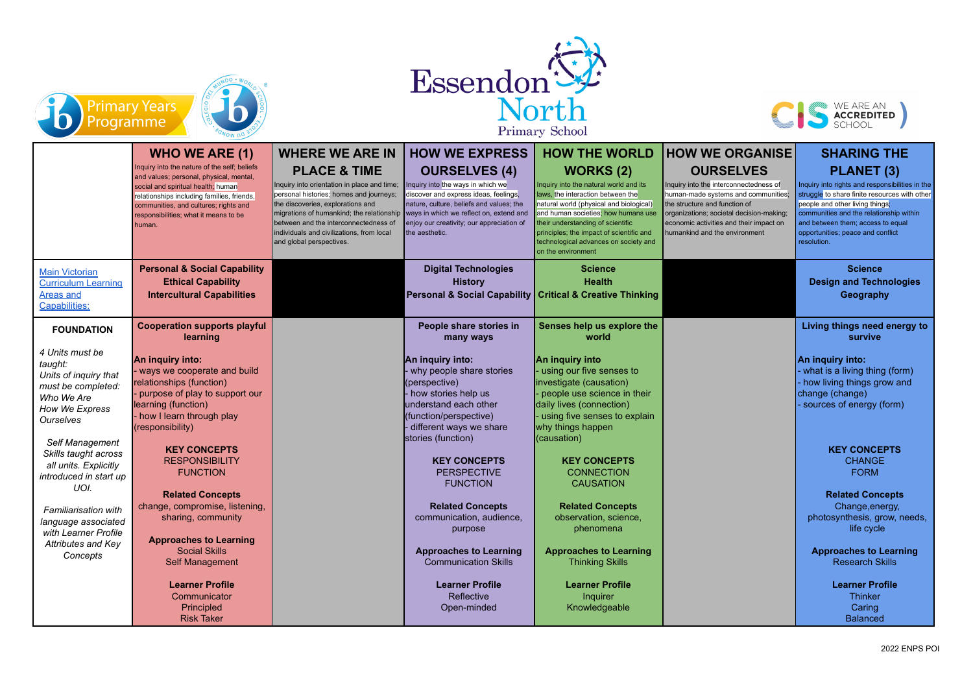





Primary School

|                                                                                                                        | $\sim$ $\mu$                                                                                                                                                                                                                                                            |                                                                                                                                                                                                                                                                                                                       |                                                                                                                                                                                                                                                          |                                                                                                                                                                                                                                                                                                                                  |                                                                                                                                                                                                                                                            |                                                                                                                                                                                                                                                                                       |
|------------------------------------------------------------------------------------------------------------------------|-------------------------------------------------------------------------------------------------------------------------------------------------------------------------------------------------------------------------------------------------------------------------|-----------------------------------------------------------------------------------------------------------------------------------------------------------------------------------------------------------------------------------------------------------------------------------------------------------------------|----------------------------------------------------------------------------------------------------------------------------------------------------------------------------------------------------------------------------------------------------------|----------------------------------------------------------------------------------------------------------------------------------------------------------------------------------------------------------------------------------------------------------------------------------------------------------------------------------|------------------------------------------------------------------------------------------------------------------------------------------------------------------------------------------------------------------------------------------------------------|---------------------------------------------------------------------------------------------------------------------------------------------------------------------------------------------------------------------------------------------------------------------------------------|
|                                                                                                                        | <b>WHO WE ARE (1)</b>                                                                                                                                                                                                                                                   | <b>WHERE WE ARE IN</b>                                                                                                                                                                                                                                                                                                | <b>HOW WE EXPRESS</b>                                                                                                                                                                                                                                    | <b>HOW THE WORLD</b>                                                                                                                                                                                                                                                                                                             | <b>HOW WE ORGANISE</b>                                                                                                                                                                                                                                     | <b>SHARING THE</b>                                                                                                                                                                                                                                                                    |
|                                                                                                                        | Inquiry into the nature of the self; beliefs<br>and values; personal, physical, mental,<br>social and spiritual health; human<br>relationships including families, friends,<br>communities, and cultures; rights and<br>responsibilities; what it means to be<br>human. | <b>PLACE &amp; TIME</b><br>Inquiry into orientation in place and time;<br>personal histories; homes and journeys;<br>the discoveries, explorations and<br>migrations of humankind; the relationship<br>between and the interconnectedness of<br>individuals and civilizations, from local<br>and global perspectives. | <b>OURSELVES (4)</b><br>Inquiry into the ways in which we<br>discover and express ideas, feelings,<br>nature, culture, beliefs and values; the<br>ways in which we reflect on, extend and<br>enjoy our creativity; our appreciation of<br>the aesthetic. | <b>WORKS (2)</b><br>Inquiry into the natural world and its<br>laws, the interaction between the<br>natural world (physical and biological)<br>and human societies; how humans use<br>heir understanding of scientific<br>principles; the impact of scientific and<br>technological advances on society and<br>on the environment | <b>OURSELVES</b><br>Inquiry into the interconnectedness of<br>human-made systems and communities;<br>the structure and function of<br>organizations; societal decision-making;<br>economic activities and their impact on<br>humankind and the environment | PLANET (3)<br>Inquiry into rights and responsibilities in the<br>struggle to share finite resources with other<br>people and other living things;<br>communities and the relationship within<br>and between them; access to equal<br>opportunities; peace and conflict<br>resolution. |
| <b>Main Victorian</b><br><b>Curriculum Learning</b><br>Areas and<br>Capabilities:                                      | <b>Personal &amp; Social Capability</b><br><b>Ethical Capability</b><br><b>Intercultural Capabilities</b>                                                                                                                                                               |                                                                                                                                                                                                                                                                                                                       | <b>Digital Technologies</b><br><b>History</b><br>Personal & Social Capability   Critical & Creative Thinking                                                                                                                                             | <b>Science</b><br><b>Health</b>                                                                                                                                                                                                                                                                                                  |                                                                                                                                                                                                                                                            | <b>Science</b><br><b>Design and Technologies</b><br>Geography                                                                                                                                                                                                                         |
| <b>FOUNDATION</b>                                                                                                      | <b>Cooperation supports playful</b><br>learning                                                                                                                                                                                                                         |                                                                                                                                                                                                                                                                                                                       | People share stories in<br>many ways                                                                                                                                                                                                                     | Senses help us explore the<br>world                                                                                                                                                                                                                                                                                              |                                                                                                                                                                                                                                                            | Living things need energy to<br>survive                                                                                                                                                                                                                                               |
| 4 Units must be<br>taught:<br>Units of inquiry that<br>must be completed:<br>Who We Are<br>How We Express<br>Ourselves | An inquiry into:<br>ways we cooperate and build<br>relationships (function)<br>purpose of play to support our<br>learning (function)<br>how I learn through play<br>(responsibility)                                                                                    |                                                                                                                                                                                                                                                                                                                       | An inquiry into:<br>- why people share stories<br>(perspective)<br>- how stories help us<br>understand each other<br>(function/perspective)<br>- different ways we share<br>stories (function)                                                           | An inguiry into<br>using our five senses to<br>investigate (causation)<br>people use science in their<br>daily lives (connection)<br>using five senses to explain<br>why things happen<br>(causation)                                                                                                                            |                                                                                                                                                                                                                                                            | An inquiry into:<br>- what is a living thing (form)<br>- how living things grow and<br>change (change)<br>- sources of energy (form)                                                                                                                                                  |
| Self Management<br>Skills taught across<br>all units. Explicitly<br>introduced in start up<br>UOI.                     | <b>KEY CONCEPTS</b><br><b>RESPONSIBILITY</b><br><b>FUNCTION</b><br><b>Related Concepts</b>                                                                                                                                                                              |                                                                                                                                                                                                                                                                                                                       | <b>KEY CONCEPTS</b><br><b>PERSPECTIVE</b><br><b>FUNCTION</b>                                                                                                                                                                                             | <b>KEY CONCEPTS</b><br><b>CONNECTION</b><br><b>CAUSATION</b>                                                                                                                                                                                                                                                                     |                                                                                                                                                                                                                                                            | <b>KEY CONCEPTS</b><br><b>CHANGE</b><br><b>FORM</b><br><b>Related Concepts</b>                                                                                                                                                                                                        |
| <b>Familiarisation with</b><br>language associated<br>with Learner Profile                                             | change, compromise, listening,<br>sharing, community<br><b>Approaches to Learning</b>                                                                                                                                                                                   |                                                                                                                                                                                                                                                                                                                       | <b>Related Concepts</b><br>communication, audience,<br>purpose                                                                                                                                                                                           | <b>Related Concepts</b><br>observation, science,<br>phenomena                                                                                                                                                                                                                                                                    |                                                                                                                                                                                                                                                            | Change, energy,<br>photosynthesis, grow, needs,<br>life cycle                                                                                                                                                                                                                         |
| Attributes and Key<br>Concepts                                                                                         | <b>Social Skills</b><br><b>Self Management</b>                                                                                                                                                                                                                          |                                                                                                                                                                                                                                                                                                                       | <b>Approaches to Learning</b><br><b>Communication Skills</b>                                                                                                                                                                                             | <b>Approaches to Learning</b><br><b>Thinking Skills</b>                                                                                                                                                                                                                                                                          |                                                                                                                                                                                                                                                            | <b>Approaches to Learning</b><br><b>Research Skills</b>                                                                                                                                                                                                                               |
|                                                                                                                        | <b>Learner Profile</b><br>Communicator<br>Principled<br><b>Risk Taker</b>                                                                                                                                                                                               |                                                                                                                                                                                                                                                                                                                       | <b>Learner Profile</b><br>Reflective<br>Open-minded                                                                                                                                                                                                      | <b>Learner Profile</b><br>Inquirer<br>Knowledgeable                                                                                                                                                                                                                                                                              |                                                                                                                                                                                                                                                            | <b>Learner Profile</b><br>Thinker<br>Caring<br><b>Balanced</b>                                                                                                                                                                                                                        |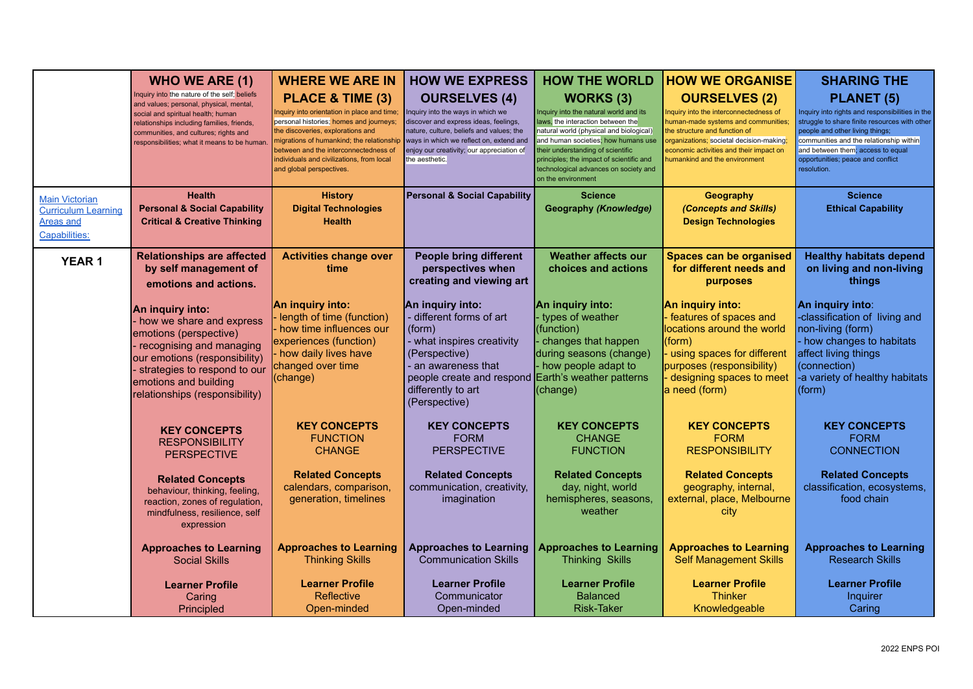| <b>Main Victorian</b>                                           | <b>WHO WE ARE (1)</b><br>Inquiry into the nature of the self; beliefs<br>and values; personal, physical, mental,<br>social and spiritual health; human<br>relationships including families, friends,<br>communities, and cultures; rights and<br>responsibilities; what it means to be human<br><b>Health</b> | <b>WHERE WE ARE IN</b><br>PLACE & TIME (3)<br>nquiry into orientation in place and time;<br>personal histories; homes and journeys;<br>the discoveries, explorations and<br>migrations of humankind; the relationship<br>between and the interconnectedness of<br>individuals and civilizations, from local<br>and global perspectives.<br><b>History</b> | <b>HOW WE EXPRESS</b><br><b>OURSELVES (4)</b><br>Inquiry into the ways in which we<br>discover and express ideas, feelings,<br>nature, culture, beliefs and values; the<br>ways in which we reflect on, extend and<br>enjoy our creativity; our appreciation of<br>the aesthetic.<br><b>Personal &amp; Social Capability</b> | <b>HOW THE WORLD</b><br><b>WORKS (3)</b><br>Inquiry into the natural world and its<br>laws, the interaction between the<br>natural world (physical and biological)<br>and human societies; how humans use<br>their understanding of scientific<br>principles; the impact of scientific and<br>technological advances on society and<br>on the environment<br><b>Science</b> | <b>HOW WE ORGANISE</b><br><b>OURSELVES (2)</b><br>Inquiry into the interconnectedness of<br>human-made systems and communities;<br>the structure and function of<br>organizations; societal decision-making;<br>economic activities and their impact on<br>numankind and the environment<br>Geography | <b>SHARING THE</b><br>PLANET (5)<br>Inquiry into rights and responsibilities in the<br>struggle to share finite resources with other<br>people and other living things;<br>communities and the relationship within<br>and between them; access to equal<br>opportunities; peace and conflict<br>resolution.<br><b>Science</b> |
|-----------------------------------------------------------------|---------------------------------------------------------------------------------------------------------------------------------------------------------------------------------------------------------------------------------------------------------------------------------------------------------------|-----------------------------------------------------------------------------------------------------------------------------------------------------------------------------------------------------------------------------------------------------------------------------------------------------------------------------------------------------------|------------------------------------------------------------------------------------------------------------------------------------------------------------------------------------------------------------------------------------------------------------------------------------------------------------------------------|-----------------------------------------------------------------------------------------------------------------------------------------------------------------------------------------------------------------------------------------------------------------------------------------------------------------------------------------------------------------------------|-------------------------------------------------------------------------------------------------------------------------------------------------------------------------------------------------------------------------------------------------------------------------------------------------------|-------------------------------------------------------------------------------------------------------------------------------------------------------------------------------------------------------------------------------------------------------------------------------------------------------------------------------|
| <b>Curriculum Learning</b><br>Areas and<br><b>Capabilities:</b> | <b>Personal &amp; Social Capability</b><br><b>Critical &amp; Creative Thinking</b>                                                                                                                                                                                                                            | <b>Digital Technologies</b><br><b>Health</b>                                                                                                                                                                                                                                                                                                              |                                                                                                                                                                                                                                                                                                                              | <b>Geography (Knowledge)</b>                                                                                                                                                                                                                                                                                                                                                | (Concepts and Skills)<br><b>Design Technologies</b>                                                                                                                                                                                                                                                   | <b>Ethical Capability</b>                                                                                                                                                                                                                                                                                                     |
| <b>YEAR1</b>                                                    | <b>Relationships are affected</b><br>by self management of<br>emotions and actions.                                                                                                                                                                                                                           | <b>Activities change over</b><br>time                                                                                                                                                                                                                                                                                                                     | <b>People bring different</b><br>perspectives when<br>creating and viewing art                                                                                                                                                                                                                                               | <b>Weather affects our</b><br>choices and actions                                                                                                                                                                                                                                                                                                                           | <b>Spaces can be organised</b><br>for different needs and<br>purposes                                                                                                                                                                                                                                 | <b>Healthy habitats depend</b><br>on living and non-living<br>things                                                                                                                                                                                                                                                          |
|                                                                 | An inquiry into:<br>- how we share and express<br>emotions (perspective)<br>recognising and managing<br>our emotions (responsibility)<br>strategies to respond to our<br>emotions and building<br>relationships (responsibility)                                                                              | An inquiry into:<br>length of time (function)<br>how time influences our<br>experiences (function)<br>how daily lives have<br>changed over time<br>(change)                                                                                                                                                                                               | An inquiry into:<br>- different forms of art<br>(form)<br>- what inspires creativity<br>(Perspective)<br>- an awareness that<br>people create and respond Earth's weather patterns<br>differently to art<br>(Perspective)                                                                                                    | An inquiry into:<br>- types of weather<br>(function)<br>changes that happen<br>during seasons (change)<br>- how people adapt to<br>(change)                                                                                                                                                                                                                                 | An inquiry into:<br>features of spaces and<br>locations around the world<br>(form)<br>using spaces for different<br>purposes (responsibility)<br>designing spaces to meet<br>a need (form)                                                                                                            | An inquiry into:<br>-classification of living and<br>non-living (form)<br>how changes to habitats<br>affect living things<br>(connection)<br>-a variety of healthy habitats<br>$\vert$ (form)                                                                                                                                 |
|                                                                 | <b>KEY CONCEPTS</b><br><b>RESPONSIBILITY</b><br><b>PERSPECTIVE</b>                                                                                                                                                                                                                                            | <b>KEY CONCEPTS</b><br><b>FUNCTION</b><br><b>CHANGE</b>                                                                                                                                                                                                                                                                                                   | <b>KEY CONCEPTS</b><br><b>FORM</b><br><b>PERSPECTIVE</b>                                                                                                                                                                                                                                                                     | <b>KEY CONCEPTS</b><br><b>CHANGE</b><br><b>FUNCTION</b>                                                                                                                                                                                                                                                                                                                     | <b>KEY CONCEPTS</b><br><b>FORM</b><br><b>RESPONSIBILITY</b>                                                                                                                                                                                                                                           | <b>KEY CONCEPTS</b><br><b>FORM</b><br><b>CONNECTION</b>                                                                                                                                                                                                                                                                       |
|                                                                 | <b>Related Concepts</b><br>behaviour, thinking, feeling,<br>reaction, zones of regulation,<br>mindfulness, resilience, self<br>expression                                                                                                                                                                     | <b>Related Concepts</b><br>calendars, comparison,<br>generation, timelines                                                                                                                                                                                                                                                                                | <b>Related Concepts</b><br>communication, creativity,<br>imagination                                                                                                                                                                                                                                                         | <b>Related Concepts</b><br>day, night, world<br>hemispheres, seasons,<br>weather                                                                                                                                                                                                                                                                                            | <b>Related Concepts</b><br>geography, internal,<br>external, place, Melbourne<br>city                                                                                                                                                                                                                 | <b>Related Concepts</b><br>classification, ecosystems,<br>food chain                                                                                                                                                                                                                                                          |
|                                                                 | <b>Approaches to Learning</b><br><b>Social Skills</b>                                                                                                                                                                                                                                                         | <b>Approaches to Learning</b><br><b>Thinking Skills</b>                                                                                                                                                                                                                                                                                                   | <b>Approaches to Learning</b><br><b>Communication Skills</b>                                                                                                                                                                                                                                                                 | <b>Approaches to Learning</b><br><b>Thinking Skills</b>                                                                                                                                                                                                                                                                                                                     | <b>Approaches to Learning</b><br><b>Self Management Skills</b>                                                                                                                                                                                                                                        | <b>Approaches to Learning</b><br><b>Research Skills</b>                                                                                                                                                                                                                                                                       |
|                                                                 | <b>Learner Profile</b><br>Caring<br>Principled                                                                                                                                                                                                                                                                | <b>Learner Profile</b><br>Reflective<br>Open-minded                                                                                                                                                                                                                                                                                                       | <b>Learner Profile</b><br>Communicator<br>Open-minded                                                                                                                                                                                                                                                                        | <b>Learner Profile</b><br><b>Balanced</b><br><b>Risk-Taker</b>                                                                                                                                                                                                                                                                                                              | <b>Learner Profile</b><br><b>Thinker</b><br>Knowledgeable                                                                                                                                                                                                                                             | <b>Learner Profile</b><br>Inquirer<br>Caring                                                                                                                                                                                                                                                                                  |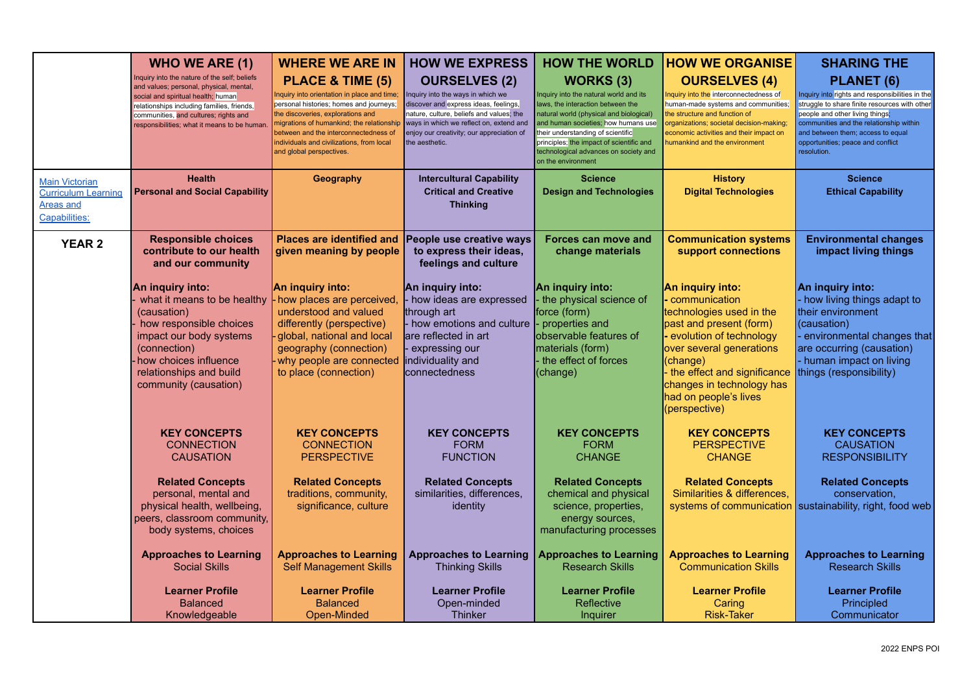|                                                                                          | <b>WHO WE ARE (1)</b>                                                                                                                                                                                                                                               | <b>WHERE WE ARE IN</b>                                                                                                                                                                                                                                                                                        | <b>HOW WE EXPRESS</b>                                                                                                                                                                                                                                    | <b>HOW THE WORLD</b>                                                                                                                                                                                                                                                                                                              | <b>HOW WE ORGANISE</b>                                                                                                                                                                                                                                              | <b>SHARING THE</b>                                                                                                                                                                                                                                                                           |
|------------------------------------------------------------------------------------------|---------------------------------------------------------------------------------------------------------------------------------------------------------------------------------------------------------------------------------------------------------------------|---------------------------------------------------------------------------------------------------------------------------------------------------------------------------------------------------------------------------------------------------------------------------------------------------------------|----------------------------------------------------------------------------------------------------------------------------------------------------------------------------------------------------------------------------------------------------------|-----------------------------------------------------------------------------------------------------------------------------------------------------------------------------------------------------------------------------------------------------------------------------------------------------------------------------------|---------------------------------------------------------------------------------------------------------------------------------------------------------------------------------------------------------------------------------------------------------------------|----------------------------------------------------------------------------------------------------------------------------------------------------------------------------------------------------------------------------------------------------------------------------------------------|
|                                                                                          | Inquiry into the nature of the self; beliefs<br>and values; personal, physical, mental,<br>social and spiritual health; human<br>relationships including families, friends,<br>communities, and cultures; rights and<br>responsibilities; what it means to be human | PLACE & TIME (5)<br>nquiry into orientation in place and time;<br>personal histories; homes and journeys;<br>the discoveries, explorations and<br>nigrations of humankind; the relationship<br>between and the interconnectedness of<br>individuals and civilizations, from local<br>and global perspectives. | <b>OURSELVES (2)</b><br>Inquiry into the ways in which we<br>discover and express ideas, feelings,<br>nature, culture, beliefs and values; the<br>ways in which we reflect on, extend and<br>enjoy our creativity; our appreciation of<br>the aesthetic. | <b>WORKS (3)</b><br>Inquiry into the natural world and its<br>laws, the interaction between the<br>natural world (physical and biological)<br>and human societies; how humans use<br>their understanding of scientific<br>principles; the impact of scientific and<br>technological advances on society and<br>on the environment | <b>OURSELVES (4)</b><br>Inquiry into the interconnectedness of<br>human-made systems and communities;<br>the structure and function of<br>organizations; societal decision-making;<br>economic activities and their impact on<br>numankind and the environment      | <b>PLANET (6)</b><br>Inquiry into rights and responsibilities in the<br>struggle to share finite resources with other<br>people and other living things:<br>communities and the relationship within<br>and between them; access to equal<br>opportunities; peace and conflict<br>resolution. |
| <b>Main Victorian</b><br><b>Curriculum Learning</b><br><b>Areas and</b><br>Capabilities: | <b>Health</b><br><b>Personal and Social Capability</b>                                                                                                                                                                                                              | Geography                                                                                                                                                                                                                                                                                                     | <b>Intercultural Capability</b><br><b>Critical and Creative</b><br><b>Thinking</b>                                                                                                                                                                       | <b>Science</b><br><b>Design and Technologies</b>                                                                                                                                                                                                                                                                                  | <b>History</b><br><b>Digital Technologies</b>                                                                                                                                                                                                                       | <b>Science</b><br><b>Ethical Capability</b>                                                                                                                                                                                                                                                  |
| <b>YEAR 2</b>                                                                            | <b>Responsible choices</b><br>contribute to our health<br>and our community                                                                                                                                                                                         | <b>Places are identified and</b><br>given meaning by people                                                                                                                                                                                                                                                   | People use creative ways<br>to express their ideas,<br>feelings and culture                                                                                                                                                                              | <b>Forces can move and</b><br>change materials                                                                                                                                                                                                                                                                                    | <b>Communication systems</b><br>support connections                                                                                                                                                                                                                 | <b>Environmental changes</b><br>impact living things                                                                                                                                                                                                                                         |
|                                                                                          | An inquiry into:<br>what it means to be healthy<br>(causation)<br>how responsible choices<br>impact our body systems<br>(connection)<br>how choices influence<br>relationships and build<br>community (causation)                                                   | An inquiry into:<br>how places are perceived,<br>understood and valued<br>differently (perspective)<br>global, national and local<br>geography (connection)<br>why people are connected<br>to place (connection)                                                                                              | An inquiry into:<br>- how ideas are expressed<br>through art<br>- how emotions and culture<br>are reflected in art<br>- expressing our<br>individuality and<br>connectedness                                                                             | An inquiry into:<br>the physical science of<br>force (form)<br>properties and<br>observable features of<br>materials (form)<br>the effect of forces<br>(change)                                                                                                                                                                   | An inquiry into:<br>communication<br>technologies used in the<br>past and present (form)<br>- evolution of technology<br>over several generations<br>(change)<br>the effect and significance<br>changes in technology has<br>had on people's lives<br>(perspective) | An inquiry into:<br>- how living things adapt to<br>their environment<br>(causation)<br>environmental changes that<br>are occurring (causation)<br>- human impact on living<br>things (responsibility)                                                                                       |
|                                                                                          | <b>KEY CONCEPTS</b><br><b>CONNECTION</b><br><b>CAUSATION</b>                                                                                                                                                                                                        | <b>KEY CONCEPTS</b><br><b>CONNECTION</b><br><b>PERSPECTIVE</b>                                                                                                                                                                                                                                                | <b>KEY CONCEPTS</b><br><b>FORM</b><br><b>FUNCTION</b>                                                                                                                                                                                                    | <b>KEY CONCEPTS</b><br><b>FORM</b><br><b>CHANGE</b>                                                                                                                                                                                                                                                                               | <b>KEY CONCEPTS</b><br><b>PERSPECTIVE</b><br><b>CHANGE</b>                                                                                                                                                                                                          | <b>KEY CONCEPTS</b><br><b>CAUSATION</b><br><b>RESPONSIBILITY</b>                                                                                                                                                                                                                             |
|                                                                                          | <b>Related Concepts</b><br>personal, mental and<br>physical health, wellbeing,<br>peers, classroom community,<br>body systems, choices                                                                                                                              | <b>Related Concepts</b><br>traditions, community,<br>significance, culture                                                                                                                                                                                                                                    | <b>Related Concepts</b><br>similarities, differences,<br>identity                                                                                                                                                                                        | <b>Related Concepts</b><br>chemical and physical<br>science, properties,<br>energy sources,<br>manufacturing processes                                                                                                                                                                                                            | <b>Related Concepts</b><br>Similarities & differences,<br>systems of communication                                                                                                                                                                                  | <b>Related Concepts</b><br>conservation,<br>sustainability, right, food web                                                                                                                                                                                                                  |
|                                                                                          | <b>Approaches to Learning</b><br><b>Social Skills</b>                                                                                                                                                                                                               | <b>Approaches to Learning</b><br><b>Self Management Skills</b>                                                                                                                                                                                                                                                | <b>Approaches to Learning</b><br><b>Thinking Skills</b>                                                                                                                                                                                                  | <b>Approaches to Learning</b><br><b>Research Skills</b>                                                                                                                                                                                                                                                                           | <b>Approaches to Learning</b><br><b>Communication Skills</b>                                                                                                                                                                                                        | <b>Approaches to Learning</b><br><b>Research Skills</b>                                                                                                                                                                                                                                      |
|                                                                                          | <b>Learner Profile</b><br><b>Balanced</b><br>Knowledgeable                                                                                                                                                                                                          | <b>Learner Profile</b><br><b>Balanced</b><br>Open-Minded                                                                                                                                                                                                                                                      | <b>Learner Profile</b><br>Open-minded<br><b>Thinker</b>                                                                                                                                                                                                  | <b>Learner Profile</b><br>Reflective<br>Inquirer                                                                                                                                                                                                                                                                                  | <b>Learner Profile</b><br>Caring<br><b>Risk-Taker</b>                                                                                                                                                                                                               | <b>Learner Profile</b><br>Principled<br>Communicator                                                                                                                                                                                                                                         |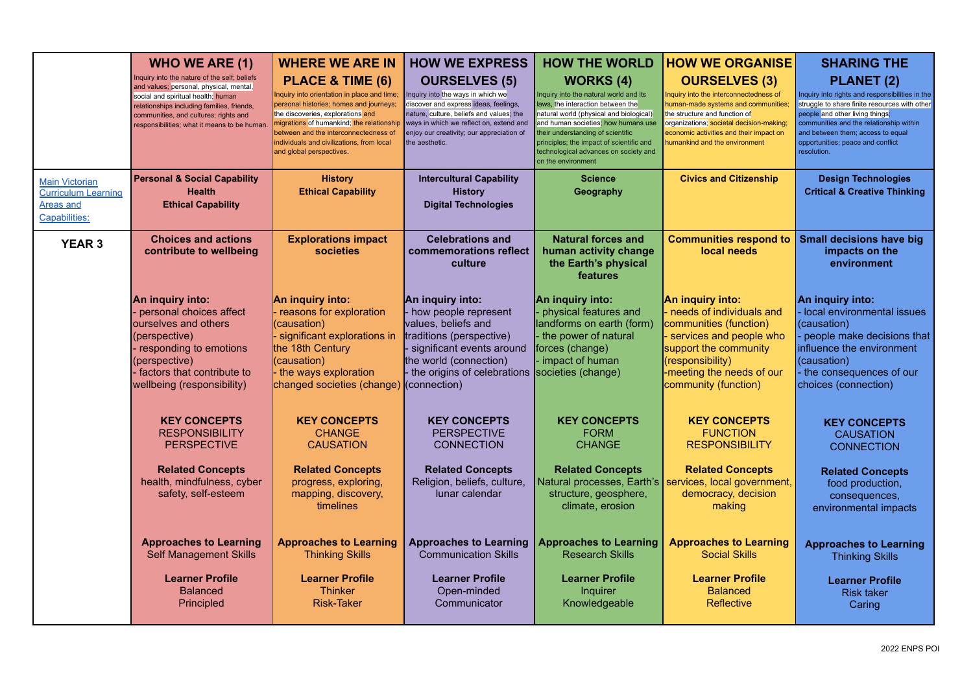|                                                                                   | <b>WHO WE ARE (1)</b>                                                                                                                                                                                                                                                | <b>WHERE WE ARE IN</b>                                                                                                                                                                                                                                                                                       | <b>HOW WE EXPRESS</b>                                                                                                                                                                                                                                    | <b>HOW THE WORLD</b>                                                                                                                                                                                                                                                                                                              | <b>HOW WE ORGANISE</b>                                                                                                                                                                                                                                         | <b>SHARING THE</b>                                                                                                                                                                                                                                                                           |
|-----------------------------------------------------------------------------------|----------------------------------------------------------------------------------------------------------------------------------------------------------------------------------------------------------------------------------------------------------------------|--------------------------------------------------------------------------------------------------------------------------------------------------------------------------------------------------------------------------------------------------------------------------------------------------------------|----------------------------------------------------------------------------------------------------------------------------------------------------------------------------------------------------------------------------------------------------------|-----------------------------------------------------------------------------------------------------------------------------------------------------------------------------------------------------------------------------------------------------------------------------------------------------------------------------------|----------------------------------------------------------------------------------------------------------------------------------------------------------------------------------------------------------------------------------------------------------------|----------------------------------------------------------------------------------------------------------------------------------------------------------------------------------------------------------------------------------------------------------------------------------------------|
|                                                                                   | Inquiry into the nature of the self; beliefs<br>and values; personal, physical, mental,<br>social and spiritual health; human<br>relationships including families, friends,<br>communities, and cultures; rights and<br>responsibilities; what it means to be human. | PLACE & TIME (6)<br>nquiry into orientation in place and time;<br>personal histories; homes and journeys;<br>the discoveries, explorations and<br>nigrations of humankind; the relationship<br>between and the interconnectedness of<br>ndividuals and civilizations, from local<br>and global perspectives. | <b>OURSELVES (5)</b><br>Inquiry into the ways in which we<br>discover and express ideas, feelings,<br>nature, culture, beliefs and values; the<br>ways in which we reflect on, extend and<br>enjoy our creativity; our appreciation of<br>the aesthetic. | <b>WORKS</b> (4)<br>Inquiry into the natural world and its<br>laws, the interaction between the<br>natural world (physical and biological)<br>and human societies; how humans use<br>their understanding of scientific<br>principles; the impact of scientific and<br>technological advances on society and<br>on the environment | <b>OURSELVES (3)</b><br>Inquiry into the interconnectedness of<br>human-made systems and communities:<br>the structure and function of<br>organizations; societal decision-making;<br>economic activities and their impact on<br>humankind and the environment | <b>PLANET (2)</b><br>Inquiry into rights and responsibilities in the<br>struggle to share finite resources with other<br>people and other living things;<br>communities and the relationship within<br>and between them; access to equal<br>opportunities; peace and conflict<br>resolution. |
| Main Victorian<br><b>Curriculum Learning</b><br><b>Areas and</b><br>Capabilities: | <b>Personal &amp; Social Capability</b><br><b>Health</b><br><b>Ethical Capability</b>                                                                                                                                                                                | <b>History</b><br><b>Ethical Capability</b>                                                                                                                                                                                                                                                                  | <b>Intercultural Capability</b><br><b>History</b><br><b>Digital Technologies</b>                                                                                                                                                                         | <b>Science</b><br>Geography                                                                                                                                                                                                                                                                                                       | <b>Civics and Citizenship</b>                                                                                                                                                                                                                                  | <b>Design Technologies</b><br><b>Critical &amp; Creative Thinking</b>                                                                                                                                                                                                                        |
| <b>YEAR 3</b>                                                                     | <b>Choices and actions</b><br>contribute to wellbeing                                                                                                                                                                                                                | <b>Explorations impact</b><br>societies                                                                                                                                                                                                                                                                      | <b>Celebrations and</b><br>commemorations reflect<br>culture                                                                                                                                                                                             | <b>Natural forces and</b><br>human activity change<br>the Earth's physical<br>features                                                                                                                                                                                                                                            | <b>Communities respond to</b><br>local needs                                                                                                                                                                                                                   | <b>Small decisions have big</b><br>impacts on the<br>environment                                                                                                                                                                                                                             |
|                                                                                   | An inquiry into:<br>personal choices affect<br>ourselves and others<br>(perspective)<br>responding to emotions<br>(perspective)<br>factors that contribute to<br>wellbeing (responsibility)                                                                          | An inquiry into:<br>reasons for exploration<br>(causation)<br>significant explorations in<br>the 18th Century<br>(causation)<br>the ways exploration<br>changed societies (change)                                                                                                                           | An inquiry into:<br>how people represent<br>values, beliefs and<br>traditions (perspective)<br>significant events around<br>the world (connection)<br>the origins of celebrations <b>Societies</b> (change)<br>(connection)                              | An inquiry into:<br>physical features and<br>landforms on earth (form)<br>the power of natural<br>forces (change)<br>- impact of human                                                                                                                                                                                            | An inquiry into:<br>needs of individuals and<br>communities (function)<br>services and people who<br>support the community<br>(responsibility)<br>-meeting the needs of our<br>community (function)                                                            | An inquiry into:<br>local environmental issues<br>(causation)<br>people make decisions that<br>influence the environment<br>(causation)<br>the consequences of our<br>choices (connection)                                                                                                   |
|                                                                                   | <b>KEY CONCEPTS</b><br><b>RESPONSIBILITY</b><br><b>PERSPECTIVE</b>                                                                                                                                                                                                   | <b>KEY CONCEPTS</b><br><b>CHANGE</b><br><b>CAUSATION</b>                                                                                                                                                                                                                                                     | <b>KEY CONCEPTS</b><br><b>PERSPECTIVE</b><br><b>CONNECTION</b>                                                                                                                                                                                           | <b>KEY CONCEPTS</b><br><b>FORM</b><br><b>CHANGE</b>                                                                                                                                                                                                                                                                               | <b>KEY CONCEPTS</b><br><b>FUNCTION</b><br><b>RESPONSIBILITY</b>                                                                                                                                                                                                | <b>KEY CONCEPTS</b><br><b>CAUSATION</b><br><b>CONNECTION</b>                                                                                                                                                                                                                                 |
|                                                                                   | <b>Related Concepts</b><br>health, mindfulness, cyber<br>safety, self-esteem                                                                                                                                                                                         | <b>Related Concepts</b><br>progress, exploring,<br>mapping, discovery,<br>timelines                                                                                                                                                                                                                          | <b>Related Concepts</b><br>Religion, beliefs, culture,<br>lunar calendar                                                                                                                                                                                 | <b>Related Concepts</b><br>Natural processes, Earth's<br>structure, geosphere,<br>climate, erosion                                                                                                                                                                                                                                | <b>Related Concepts</b><br>services, local government,<br>democracy, decision<br>making                                                                                                                                                                        | <b>Related Concepts</b><br>food production,<br>consequences,<br>environmental impacts                                                                                                                                                                                                        |
|                                                                                   | <b>Approaches to Learning</b><br><b>Self Management Skills</b>                                                                                                                                                                                                       | <b>Approaches to Learning</b><br><b>Thinking Skills</b>                                                                                                                                                                                                                                                      | <b>Approaches to Learning</b><br><b>Communication Skills</b>                                                                                                                                                                                             | <b>Approaches to Learning</b><br><b>Research Skills</b>                                                                                                                                                                                                                                                                           | <b>Approaches to Learning</b><br><b>Social Skills</b>                                                                                                                                                                                                          | <b>Approaches to Learning</b><br><b>Thinking Skills</b>                                                                                                                                                                                                                                      |
|                                                                                   | <b>Learner Profile</b><br><b>Balanced</b><br>Principled                                                                                                                                                                                                              | <b>Learner Profile</b><br><b>Thinker</b><br><b>Risk-Taker</b>                                                                                                                                                                                                                                                | <b>Learner Profile</b><br>Open-minded<br>Communicator                                                                                                                                                                                                    | <b>Learner Profile</b><br>Inquirer<br>Knowledgeable                                                                                                                                                                                                                                                                               | <b>Learner Profile</b><br><b>Balanced</b><br>Reflective                                                                                                                                                                                                        | <b>Learner Profile</b><br><b>Risk taker</b><br>Caring                                                                                                                                                                                                                                        |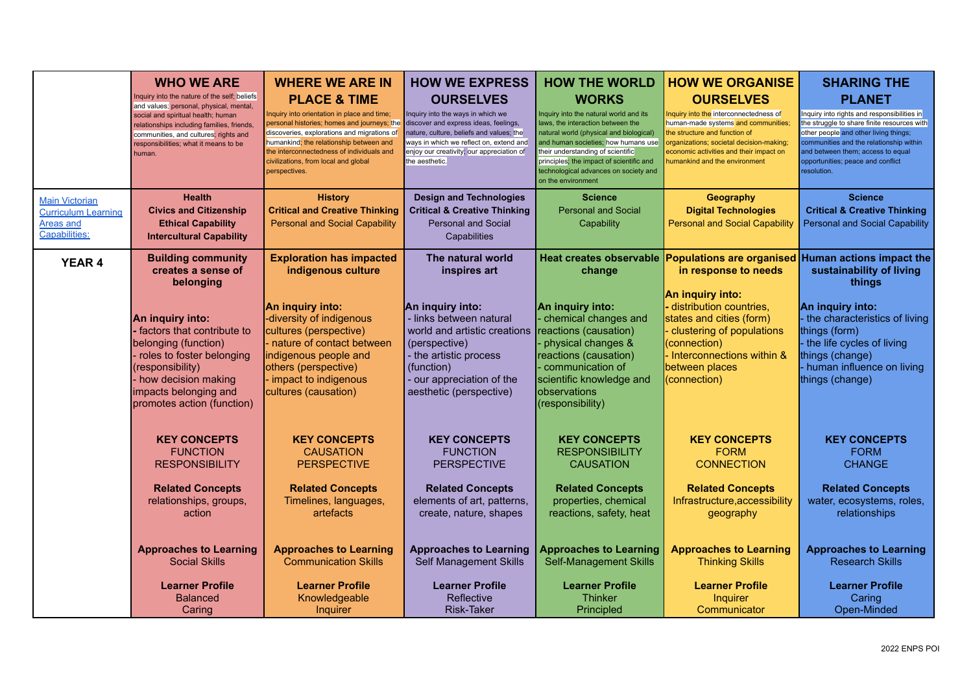|                                                                                   | <b>WHO WE ARE</b><br>Inquiry into the nature of the self; beliefs<br>and values; personal, physical, mental,<br>social and spiritual health; human<br>relationships including families, friends,<br>communities, and cultures; rights and<br>responsibilities; what it means to be<br>human. | <b>WHERE WE ARE IN</b><br><b>PLACE &amp; TIME</b><br>Inquiry into orientation in place and time;<br>personal histories; homes and journeys; the<br>discoveries, explorations and migrations of<br>humankind; the relationship between and<br>the interconnectedness of individuals and<br>civilizations, from local and global<br>perspectives. | <b>HOW WE EXPRESS</b><br><b>OURSELVES</b><br>Inquiry into the ways in which we<br>discover and express ideas, feelings,<br>nature, culture, beliefs and values; the<br>ways in which we reflect on, extend and<br>enjoy our creativity; our appreciation of<br>the aesthetic. | <b>HOW THE WORLD</b><br><b>WORKS</b><br>Inquiry into the natural world and its<br>laws, the interaction between the<br>natural world (physical and biological)<br>and human societies; how humans use<br>their understanding of scientific<br>principles; the impact of scientific and<br>technological advances on society and<br>on the environment | <b>HOW WE ORGANISE</b><br><b>OURSELVES</b><br>Inquiry into the interconnectedness of<br>human-made systems and communities;<br>the structure and function of<br>organizations; societal decision-making;<br>economic activities and their impact on<br>numankind and the environment | <b>SHARING THE</b><br><b>PLANET</b><br>Inquiry into rights and responsibilities in<br>the struggle to share finite resources with<br>other people and other living things;<br>communities and the relationship within<br>and between them; access to equal<br>opportunities; peace and conflict<br>resolution. |
|-----------------------------------------------------------------------------------|----------------------------------------------------------------------------------------------------------------------------------------------------------------------------------------------------------------------------------------------------------------------------------------------|-------------------------------------------------------------------------------------------------------------------------------------------------------------------------------------------------------------------------------------------------------------------------------------------------------------------------------------------------|-------------------------------------------------------------------------------------------------------------------------------------------------------------------------------------------------------------------------------------------------------------------------------|-------------------------------------------------------------------------------------------------------------------------------------------------------------------------------------------------------------------------------------------------------------------------------------------------------------------------------------------------------|--------------------------------------------------------------------------------------------------------------------------------------------------------------------------------------------------------------------------------------------------------------------------------------|----------------------------------------------------------------------------------------------------------------------------------------------------------------------------------------------------------------------------------------------------------------------------------------------------------------|
| <b>Main Victorian</b><br><b>Curriculum Learning</b><br>Areas and<br>Capabilities: | <b>Health</b><br><b>Civics and Citizenship</b><br><b>Ethical Capability</b><br><b>Intercultural Capability</b>                                                                                                                                                                               | <b>History</b><br><b>Critical and Creative Thinking</b><br><b>Personal and Social Capability</b>                                                                                                                                                                                                                                                | <b>Design and Technologies</b><br><b>Critical &amp; Creative Thinking</b><br><b>Personal and Social</b><br>Capabilities                                                                                                                                                       | <b>Science</b><br><b>Personal and Social</b><br>Capability                                                                                                                                                                                                                                                                                            | Geography<br><b>Digital Technologies</b><br><b>Personal and Social Capability</b>                                                                                                                                                                                                    | <b>Science</b><br><b>Critical &amp; Creative Thinking</b><br><b>Personal and Social Capability</b>                                                                                                                                                                                                             |
| <b>YEAR 4</b>                                                                     | <b>Building community</b><br>creates a sense of<br>belonging<br>An inquiry into:<br>· factors that contribute to<br>belonging (function)<br>roles to foster belonging<br>(responsibility)<br>- how decision making<br>impacts belonging and<br>promotes action (function)                    | <b>Exploration has impacted</b><br>indigenous culture<br>An inquiry into:<br>-diversity of indigenous<br>cultures (perspective)<br>nature of contact between<br>indigenous people and<br>others (perspective)<br>- impact to indigenous<br>cultures (causation)                                                                                 | The natural world<br>inspires art<br>An inquiry into:<br>- links between natural<br>world and artistic creations<br>(perspective)<br>- the artistic process<br>(function)<br>- our appreciation of the<br>aesthetic (perspective)                                             | <b>Heat creates observable</b><br>change<br>An inquiry into:<br>chemical changes and<br>reactions (causation)<br>physical changes &<br>reactions (causation)<br>communication of<br>scientific knowledge and<br><b>lobservations</b><br>(responsibility)                                                                                              | in response to needs<br>An inquiry into:<br>- distribution countries,<br>states and cities (form)<br>clustering of populations<br>(connection)<br>Interconnections within &<br>between places<br>(connection)                                                                        | Populations are organised Human actions impact the<br>sustainability of living<br>things<br>An inquiry into:<br>the characteristics of living<br>things (form)<br>the life cycles of living<br>things (change)<br>- human influence on living<br>things (change)                                               |
|                                                                                   | <b>KEY CONCEPTS</b><br><b>FUNCTION</b><br><b>RESPONSIBILITY</b><br><b>Related Concepts</b><br>relationships, groups,<br>action<br><b>Approaches to Learning</b><br><b>Social Skills</b><br><b>Learner Profile</b><br>Balanced<br>Caring                                                      | <b>KEY CONCEPTS</b><br><b>CAUSATION</b><br><b>PERSPECTIVE</b><br><b>Related Concepts</b><br>Timelines, languages,<br>artefacts<br><b>Approaches to Learning</b><br><b>Communication Skills</b><br><b>Learner Profile</b><br>Knowledgeable<br>Inquirer                                                                                           | <b>KEY CONCEPTS</b><br><b>FUNCTION</b><br><b>PERSPECTIVE</b><br><b>Related Concepts</b><br>elements of art, patterns,<br>create, nature, shapes<br><b>Approaches to Learning</b><br>Self Management Skills<br><b>Learner Profile</b><br>Reflective<br><b>Risk-Taker</b>       | <b>KEY CONCEPTS</b><br><b>RESPONSIBILITY</b><br><b>CAUSATION</b><br><b>Related Concepts</b><br>properties, chemical<br>reactions, safety, heat<br><b>Approaches to Learning</b><br><b>Self-Management Skills</b><br><b>Learner Profile</b><br><b>Thinker</b><br>Principled                                                                            | <b>KEY CONCEPTS</b><br><b>FORM</b><br><b>CONNECTION</b><br><b>Related Concepts</b><br>Infrastructure, accessibility<br>geography<br><b>Approaches to Learning</b><br><b>Thinking Skills</b><br><b>Learner Profile</b><br>Inquirer<br>Communicator                                    | <b>KEY CONCEPTS</b><br><b>FORM</b><br><b>CHANGE</b><br><b>Related Concepts</b><br>water, ecosystems, roles,<br>relationships<br><b>Approaches to Learning</b><br><b>Research Skills</b><br><b>Learner Profile</b><br>Caring<br>Open-Minded                                                                     |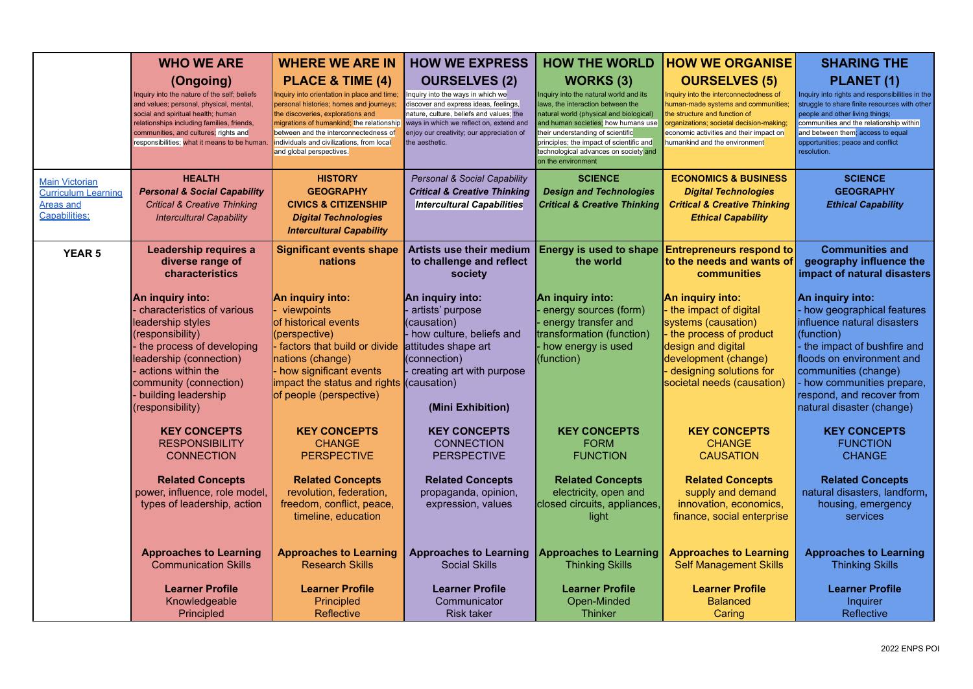|                                                                                          | <b>WHO WE ARE</b>                                                                                                                                                                                                                                                                 | <b>WHERE WE ARE IN</b>                                                                                                                                                                                                                                                                                        | <b>HOW WE EXPRESS</b>                                                                                                                                                                                                                                   | <b>HOW THE WORLD</b>                                                                                                                                                                                                                                                                                                              | <b>HOW WE ORGANISE</b>                                                                                                                                                                                                                                         | <b>SHARING THE</b>                                                                                                                                                                                                                                                                    |
|------------------------------------------------------------------------------------------|-----------------------------------------------------------------------------------------------------------------------------------------------------------------------------------------------------------------------------------------------------------------------------------|---------------------------------------------------------------------------------------------------------------------------------------------------------------------------------------------------------------------------------------------------------------------------------------------------------------|---------------------------------------------------------------------------------------------------------------------------------------------------------------------------------------------------------------------------------------------------------|-----------------------------------------------------------------------------------------------------------------------------------------------------------------------------------------------------------------------------------------------------------------------------------------------------------------------------------|----------------------------------------------------------------------------------------------------------------------------------------------------------------------------------------------------------------------------------------------------------------|---------------------------------------------------------------------------------------------------------------------------------------------------------------------------------------------------------------------------------------------------------------------------------------|
|                                                                                          | (Ongoing)<br>Inquiry into the nature of the self; beliefs<br>and values; personal, physical, mental,<br>social and spiritual health; human<br>relationships including families, friends,<br>communities, and cultures; rights and<br>responsibilities; what it means to be human. | PLACE & TIME (4)<br>nquiry into orientation in place and time;<br>personal histories; homes and journeys;<br>the discoveries, explorations and<br>migrations of humankind; the relationship<br>between and the interconnectedness of<br>individuals and civilizations, from local<br>and global perspectives. | <b>OURSELVES (2)</b><br>nquiry into the ways in which we<br>discover and express ideas, feelings,<br>nature, culture, beliefs and values; the<br>ways in which we reflect on, extend and<br>enjoy our creativity; our appreciation of<br>the aesthetic. | <b>WORKS (3)</b><br>Inquiry into the natural world and its<br>laws, the interaction between the<br>natural world (physical and biological)<br>and human societies; how humans use<br>their understanding of scientific<br>principles; the impact of scientific and<br>technological advances on society and<br>on the environment | <b>OURSELVES (5)</b><br>Inquiry into the interconnectedness of<br>human-made systems and communities;<br>the structure and function of<br>organizations; societal decision-making;<br>economic activities and their impact on<br>humankind and the environment | PLANET (1)<br>Inquiry into rights and responsibilities in the<br>struggle to share finite resources with other<br>people and other living things;<br>communities and the relationship within<br>and between them; access to equal<br>opportunities; peace and conflict<br>resolution. |
| <b>Main Victorian</b><br><b>Curriculum Learning</b><br><b>Areas and</b><br>Capabilities: | <b>HEALTH</b><br><b>Personal &amp; Social Capability</b><br><b>Critical &amp; Creative Thinking</b><br><b>Intercultural Capability</b>                                                                                                                                            | <b>HISTORY</b><br><b>GEOGRAPHY</b><br><b>CIVICS &amp; CITIZENSHIP</b><br><b>Digital Technologies</b><br><b>Intercultural Capability</b>                                                                                                                                                                       | Personal & Social Capability<br><b>Critical &amp; Creative Thinking</b><br><b>Intercultural Capabilities</b>                                                                                                                                            | <b>SCIENCE</b><br><b>Design and Technologies</b><br><b>Critical &amp; Creative Thinking</b>                                                                                                                                                                                                                                       | <b>ECONOMICS &amp; BUSINESS</b><br><b>Digital Technologies</b><br><b>Critical &amp; Creative Thinking</b><br><b>Ethical Capability</b>                                                                                                                         | <b>SCIENCE</b><br><b>GEOGRAPHY</b><br><b>Ethical Capability</b>                                                                                                                                                                                                                       |
| <b>YEAR 5</b>                                                                            | Leadership requires a<br>diverse range of<br>characteristics                                                                                                                                                                                                                      | <b>Significant events shape</b><br>nations                                                                                                                                                                                                                                                                    | <b>Artists use their medium</b><br>to challenge and reflect<br>society                                                                                                                                                                                  | <b>Energy is used to shape</b><br>the world                                                                                                                                                                                                                                                                                       | <b>Entrepreneurs respond to</b><br>to the needs and wants of<br>communities                                                                                                                                                                                    | <b>Communities and</b><br>geography influence the<br>impact of natural disasters                                                                                                                                                                                                      |
|                                                                                          | An inquiry into:<br>characteristics of various<br>leadership styles<br>(responsibility)<br>the process of developing<br>leadership (connection)<br>actions within the<br>community (connection)<br>building leadership<br>(responsibility)                                        | An inquiry into:<br>viewpoints<br>of historical events<br>(perspective)<br>- factors that build or divide<br>nations (change)<br>- how significant events<br>impact the status and rights (causation)<br>of people (perspective)                                                                              | An inquiry into:<br>artists' purpose<br>(causation)<br>- how culture, beliefs and<br>attitudes shape art<br>(connection)<br>creating art with purpose<br>(Mini Exhibition)                                                                              | An inquiry into:<br>energy sources (form)<br>energy transfer and<br>transformation (function)<br>how energy is used<br>(function)                                                                                                                                                                                                 | An inquiry into:<br>the impact of digital<br>systems (causation)<br>the process of product<br>design and digital<br>development (change)<br>designing solutions for<br>societal needs (causation)                                                              | An inquiry into:<br>how geographical features<br>influence natural disasters<br>(function)<br>the impact of bushfire and<br>lfloods on environment and<br>communities (change)<br>how communities prepare,<br>respond, and recover from<br>natural disaster (change)                  |
|                                                                                          | <b>KEY CONCEPTS</b><br><b>RESPONSIBILITY</b><br><b>CONNECTION</b>                                                                                                                                                                                                                 | <b>KEY CONCEPTS</b><br><b>CHANGE</b><br><b>PERSPECTIVE</b>                                                                                                                                                                                                                                                    | <b>KEY CONCEPTS</b><br><b>CONNECTION</b><br><b>PERSPECTIVE</b>                                                                                                                                                                                          | <b>KEY CONCEPTS</b><br><b>FORM</b><br><b>FUNCTION</b>                                                                                                                                                                                                                                                                             | <b>KEY CONCEPTS</b><br><b>CHANGE</b><br><b>CAUSATION</b>                                                                                                                                                                                                       | <b>KEY CONCEPTS</b><br><b>FUNCTION</b><br><b>CHANGE</b>                                                                                                                                                                                                                               |
|                                                                                          | <b>Related Concepts</b><br>power, influence, role model,<br>types of leadership, action                                                                                                                                                                                           | <b>Related Concepts</b><br>revolution, federation,<br>freedom, conflict, peace,<br>timeline, education                                                                                                                                                                                                        | <b>Related Concepts</b><br>propaganda, opinion,<br>expression, values                                                                                                                                                                                   | <b>Related Concepts</b><br>electricity, open and<br>closed circuits, appliances,<br>light                                                                                                                                                                                                                                         | <b>Related Concepts</b><br>supply and demand<br>innovation, economics,<br>finance, social enterprise                                                                                                                                                           | <b>Related Concepts</b><br>natural disasters, landform,<br>housing, emergency<br>services                                                                                                                                                                                             |
|                                                                                          | <b>Approaches to Learning</b><br><b>Communication Skills</b>                                                                                                                                                                                                                      | <b>Approaches to Learning</b><br><b>Research Skills</b>                                                                                                                                                                                                                                                       | <b>Approaches to Learning</b><br><b>Social Skills</b>                                                                                                                                                                                                   | <b>Approaches to Learning</b><br><b>Thinking Skills</b>                                                                                                                                                                                                                                                                           | <b>Approaches to Learning</b><br><b>Self Management Skills</b>                                                                                                                                                                                                 | <b>Approaches to Learning</b><br><b>Thinking Skills</b>                                                                                                                                                                                                                               |
|                                                                                          | <b>Learner Profile</b><br>Knowledgeable<br>Principled                                                                                                                                                                                                                             | <b>Learner Profile</b><br>Principled<br>Reflective                                                                                                                                                                                                                                                            | <b>Learner Profile</b><br>Communicator<br><b>Risk taker</b>                                                                                                                                                                                             | <b>Learner Profile</b><br>Open-Minded<br><b>Thinker</b>                                                                                                                                                                                                                                                                           | <b>Learner Profile</b><br><b>Balanced</b><br>Caring                                                                                                                                                                                                            | <b>Learner Profile</b><br>Inquirer<br>Reflective                                                                                                                                                                                                                                      |